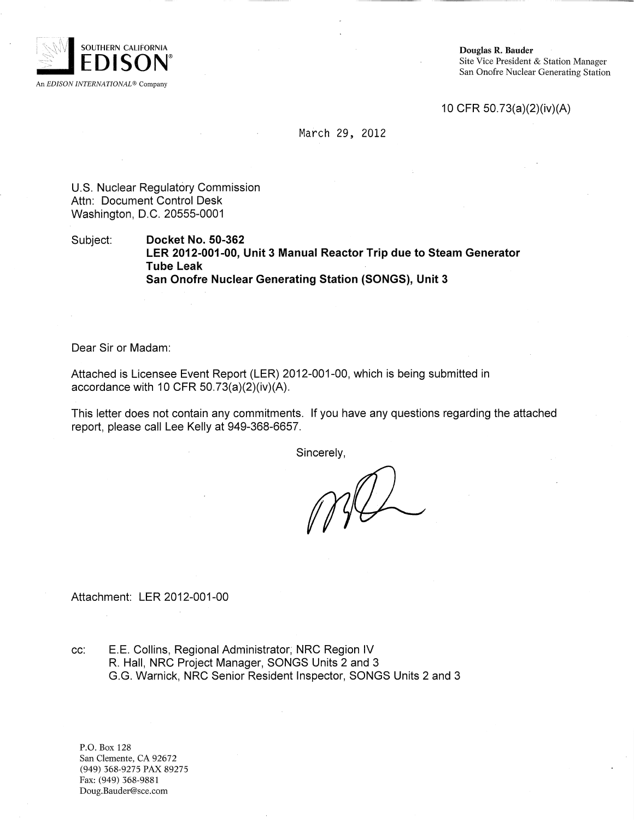

Douglas R. Bauder Site Vice President & Station Manager San Onofre Nuclear Generating Station

10 CFR 50.73(a)(2)(iv)(A)

March 29, 2012

U.S. Nuclear Regulatory Commission Attn: Document Control Desk Washington, D.C. 20555-0001

Subject: **Docket No. 50-362 LER 2012-001-00, Unit 3 Manual Reactor Trip due to Steam Generator Tube Leak San Onofre Nuclear Generating Station (SONGS), Unit 3**

Dear Sir or Madam:

Attached is Licensee Event Report (LER) 2012-001 -00, which is being submitted in accordance with 10 CFR  $50.73(a)(2)(iv)(A)$ .

This letter does not contain any commitments. **If** you have any questions regarding the attached report, please call Lee Kelly at 949-368-6657.

Sincerely,

Attach ment: LER 2012-001-00

cc: E.E. Collins, Regional Administrator; NRC Region IV R. Hall, NRC Project Manager, SONGS Units 2 and 3 G.G. Warnick, NRC Senior Resident Inspector, SONGS Units 2 and 3

P.O. Box 128 San Clemente, CA 92672 (949) 368-9275 PAX 89275 Fax: (949) 368-9881 Doug.Bauder@sce.com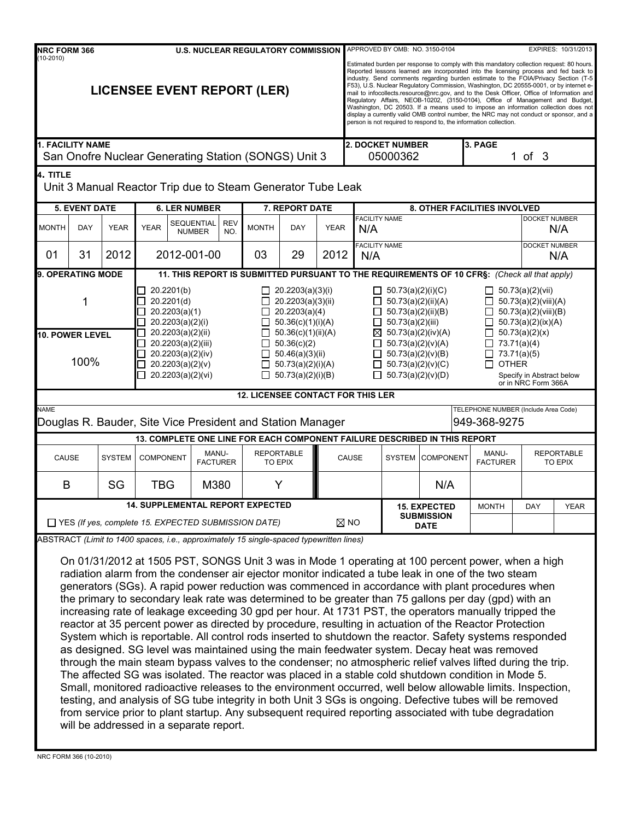| NRC FORM 366<br><b>U.S. NUCLEAR REGULATORY COMMISSION</b>                       |                                                       |               |                      |                                                                                                                                                                                                                                                                                                                                                                                                                                                                                                                                                                                                                                                                                                                                                                                                                                                                                                                                                                                                                                                                                                                                                                                                                                                                                                                                                                                                                                                                                                                                                         |                                                                                                                                                                                                                            | APPROVED BY OMB: NO. 3150-0104<br>EXPIRES: 10/31/2013 |                                                                                                                                                                                                                                                                                                                                                                                                                                                                                                                                                                                                                                                                                                                                                                                                       |                                                                                                                                                                                                                                             |                                     |             |                                                                                                                                                                                                                                       |                                                      |                      |                      |
|---------------------------------------------------------------------------------|-------------------------------------------------------|---------------|----------------------|---------------------------------------------------------------------------------------------------------------------------------------------------------------------------------------------------------------------------------------------------------------------------------------------------------------------------------------------------------------------------------------------------------------------------------------------------------------------------------------------------------------------------------------------------------------------------------------------------------------------------------------------------------------------------------------------------------------------------------------------------------------------------------------------------------------------------------------------------------------------------------------------------------------------------------------------------------------------------------------------------------------------------------------------------------------------------------------------------------------------------------------------------------------------------------------------------------------------------------------------------------------------------------------------------------------------------------------------------------------------------------------------------------------------------------------------------------------------------------------------------------------------------------------------------------|----------------------------------------------------------------------------------------------------------------------------------------------------------------------------------------------------------------------------|-------------------------------------------------------|-------------------------------------------------------------------------------------------------------------------------------------------------------------------------------------------------------------------------------------------------------------------------------------------------------------------------------------------------------------------------------------------------------------------------------------------------------------------------------------------------------------------------------------------------------------------------------------------------------------------------------------------------------------------------------------------------------------------------------------------------------------------------------------------------------|---------------------------------------------------------------------------------------------------------------------------------------------------------------------------------------------------------------------------------------------|-------------------------------------|-------------|---------------------------------------------------------------------------------------------------------------------------------------------------------------------------------------------------------------------------------------|------------------------------------------------------|----------------------|----------------------|
| $(10-2010)$<br><b>LICENSEE EVENT REPORT (LER)</b>                               |                                                       |               |                      |                                                                                                                                                                                                                                                                                                                                                                                                                                                                                                                                                                                                                                                                                                                                                                                                                                                                                                                                                                                                                                                                                                                                                                                                                                                                                                                                                                                                                                                                                                                                                         |                                                                                                                                                                                                                            |                                                       | Estimated burden per response to comply with this mandatory collection request: 80 hours.<br>Reported lessons learned are incorporated into the licensing process and fed back to<br>industry. Send comments regarding burden estimate to the FOIA/Privacy Section (T-5<br>F53), U.S. Nuclear Regulatory Commission, Washington, DC 20555-0001, or by internet e-<br>mail to infocollects.resource@nrc.gov, and to the Desk Officer, Office of Information and<br>Regulatory Affairs, NEOB-10202, (3150-0104), Office of Management and Budget,<br>Washington, DC 20503. If a means used to impose an information collection does not<br>display a currently valid OMB control number, the NRC may not conduct or sponsor, and a<br>person is not required to respond to, the information collection. |                                                                                                                                                                                                                                             |                                     |             |                                                                                                                                                                                                                                       |                                                      |                      |                      |
| <b>1. FACILITY NAME</b><br>San Onofre Nuclear Generating Station (SONGS) Unit 3 |                                                       |               |                      |                                                                                                                                                                                                                                                                                                                                                                                                                                                                                                                                                                                                                                                                                                                                                                                                                                                                                                                                                                                                                                                                                                                                                                                                                                                                                                                                                                                                                                                                                                                                                         |                                                                                                                                                                                                                            |                                                       | <b>2. DOCKET NUMBER</b><br>05000362                                                                                                                                                                                                                                                                                                                                                                                                                                                                                                                                                                                                                                                                                                                                                                   |                                                                                                                                                                                                                                             | 3. PAGE                             | 1 of $3$    |                                                                                                                                                                                                                                       |                                                      |                      |                      |
| 4. TITLE                                                                        |                                                       |               |                      | Unit 3 Manual Reactor Trip due to Steam Generator Tube Leak                                                                                                                                                                                                                                                                                                                                                                                                                                                                                                                                                                                                                                                                                                                                                                                                                                                                                                                                                                                                                                                                                                                                                                                                                                                                                                                                                                                                                                                                                             |                                                                                                                                                                                                                            |                                                       |                                                                                                                                                                                                                                                                                                                                                                                                                                                                                                                                                                                                                                                                                                                                                                                                       |                                                                                                                                                                                                                                             |                                     |             |                                                                                                                                                                                                                                       |                                                      |                      |                      |
| <b>5. EVENT DATE</b>                                                            |                                                       |               | <b>6. LER NUMBER</b> |                                                                                                                                                                                                                                                                                                                                                                                                                                                                                                                                                                                                                                                                                                                                                                                                                                                                                                                                                                                                                                                                                                                                                                                                                                                                                                                                                                                                                                                                                                                                                         |                                                                                                                                                                                                                            | 7. REPORT DATE                                        |                                                                                                                                                                                                                                                                                                                                                                                                                                                                                                                                                                                                                                                                                                                                                                                                       |                                                                                                                                                                                                                                             | 8. OTHER FACILITIES INVOLVED        |             |                                                                                                                                                                                                                                       |                                                      |                      |                      |
| <b>MONTH</b>                                                                    | DAY                                                   | <b>YEAR</b>   | <b>YEAR</b>          | SEQUENTIAL<br><b>NUMBER</b>                                                                                                                                                                                                                                                                                                                                                                                                                                                                                                                                                                                                                                                                                                                                                                                                                                                                                                                                                                                                                                                                                                                                                                                                                                                                                                                                                                                                                                                                                                                             | <b>REV</b><br>NO.                                                                                                                                                                                                          | <b>MONTH</b>                                          | <b>DAY</b>                                                                                                                                                                                                                                                                                                                                                                                                                                                                                                                                                                                                                                                                                                                                                                                            | <b>YEAR</b>                                                                                                                                                                                                                                 | <b>FACILITY NAME</b><br>N/A         |             |                                                                                                                                                                                                                                       |                                                      | <b>DOCKET NUMBER</b> | N/A                  |
| 01                                                                              | 31                                                    | 2012          |                      | 2012-001-00                                                                                                                                                                                                                                                                                                                                                                                                                                                                                                                                                                                                                                                                                                                                                                                                                                                                                                                                                                                                                                                                                                                                                                                                                                                                                                                                                                                                                                                                                                                                             |                                                                                                                                                                                                                            | 03                                                    | 29                                                                                                                                                                                                                                                                                                                                                                                                                                                                                                                                                                                                                                                                                                                                                                                                    | 2012                                                                                                                                                                                                                                        | <b>FACILITY NAME</b><br>N/A         |             |                                                                                                                                                                                                                                       |                                                      |                      | DOCKET NUMBER<br>N/A |
|                                                                                 | 9. OPERATING MODE<br>1<br>10. POWER LEVEL             |               |                      | 20.2201(b)<br>20.2201(d)<br>20.2203(a)(1)<br>20.2203(a)(2)(i)<br>20.2203(a)(2)(ii)                                                                                                                                                                                                                                                                                                                                                                                                                                                                                                                                                                                                                                                                                                                                                                                                                                                                                                                                                                                                                                                                                                                                                                                                                                                                                                                                                                                                                                                                      | $\Box$ 20.2203(a)(3)(i)<br>20.2203(a)(3)(ii)<br>20.2203(a)(4)<br>$\perp$<br>50.36(c)(1)(i)(A)<br>50.36(c)(1)(ii)(A)<br>П<br>50.36(c)(2)<br>$\perp$<br>50.46(a)(3)(ii)<br>50.73(a)(2)(i)(A)<br>$\perp$<br>50.73(a)(2)(i)(B) |                                                       |                                                                                                                                                                                                                                                                                                                                                                                                                                                                                                                                                                                                                                                                                                                                                                                                       | $\Box$ 50.73(a)(2)(i)(C)<br>$\Box$ 50.73(a)(2)(ii)(A)<br>П<br>50.73(a)(2)(ii)(B)<br>50.73(a)(2)(iii)<br>ப<br>$\boxtimes$ 50.73(a)(2)(iv)(A)<br>$\Box$ 50.73(a)(2)(v)(A)<br>50.73(a)(2)(v)(B)<br>Ш<br>50.73(a)(2)(v)(C)<br>50.73(a)(2)(v)(D) |                                     |             | 11. THIS REPORT IS SUBMITTED PURSUANT TO THE REQUIREMENTS OF 10 CFRS: (Check all that apply)<br>$\Box$ 50.73(a)(2)(vii)<br>$\Box$ 50.73(a)(2)(viii)(A)<br>50.73(a)(2)(viii)(B)<br>$\Box$<br>50.73(a)(2)(ix)(A)<br>50.73(a)(2)(x)<br>П |                                                      |                      |                      |
|                                                                                 | 100%                                                  |               |                      | 20.2203(a)(2)(iii)<br>20.2203(a)(2)(iv)<br>20.2203(a)(2)(v)<br>20.2203(a)(2)(vi)                                                                                                                                                                                                                                                                                                                                                                                                                                                                                                                                                                                                                                                                                                                                                                                                                                                                                                                                                                                                                                                                                                                                                                                                                                                                                                                                                                                                                                                                        |                                                                                                                                                                                                                            |                                                       |                                                                                                                                                                                                                                                                                                                                                                                                                                                                                                                                                                                                                                                                                                                                                                                                       |                                                                                                                                                                                                                                             |                                     |             | $\Box$ 73.71(a)(4)<br>73.71(a)(5)<br><b>OTHER</b><br>Specify in Abstract below<br>or in NRC Form 366A                                                                                                                                 |                                                      |                      |                      |
|                                                                                 |                                                       |               |                      |                                                                                                                                                                                                                                                                                                                                                                                                                                                                                                                                                                                                                                                                                                                                                                                                                                                                                                                                                                                                                                                                                                                                                                                                                                                                                                                                                                                                                                                                                                                                                         |                                                                                                                                                                                                                            | <b>12. LICENSEE CONTACT FOR THIS LER</b>              |                                                                                                                                                                                                                                                                                                                                                                                                                                                                                                                                                                                                                                                                                                                                                                                                       |                                                                                                                                                                                                                                             |                                     |             |                                                                                                                                                                                                                                       |                                                      |                      |                      |
| <b>NAME</b>                                                                     |                                                       |               |                      | Douglas R. Bauder, Site Vice President and Station Manager                                                                                                                                                                                                                                                                                                                                                                                                                                                                                                                                                                                                                                                                                                                                                                                                                                                                                                                                                                                                                                                                                                                                                                                                                                                                                                                                                                                                                                                                                              |                                                                                                                                                                                                                            |                                                       |                                                                                                                                                                                                                                                                                                                                                                                                                                                                                                                                                                                                                                                                                                                                                                                                       |                                                                                                                                                                                                                                             |                                     |             |                                                                                                                                                                                                                                       | TELEPHONE NUMBER (Include Area Code)<br>949-368-9275 |                      |                      |
|                                                                                 |                                                       |               |                      | 13. COMPLETE ONE LINE FOR EACH COMPONENT FAILURE DESCRIBED IN THIS REPORT                                                                                                                                                                                                                                                                                                                                                                                                                                                                                                                                                                                                                                                                                                                                                                                                                                                                                                                                                                                                                                                                                                                                                                                                                                                                                                                                                                                                                                                                               |                                                                                                                                                                                                                            |                                                       |                                                                                                                                                                                                                                                                                                                                                                                                                                                                                                                                                                                                                                                                                                                                                                                                       |                                                                                                                                                                                                                                             |                                     |             |                                                                                                                                                                                                                                       |                                                      |                      |                      |
| CAUSE                                                                           |                                                       | <b>SYSTEM</b> | <b>COMPONENT</b>     |                                                                                                                                                                                                                                                                                                                                                                                                                                                                                                                                                                                                                                                                                                                                                                                                                                                                                                                                                                                                                                                                                                                                                                                                                                                                                                                                                                                                                                                                                                                                                         | <b>REPORTABLE</b><br>MANU-<br>CAUSE<br><b>SYSTEM COMPONENT</b><br><b>FACTURER</b><br>TO EPIX                                                                                                                               |                                                       | MANU-<br><b>FACTURER</b>                                                                                                                                                                                                                                                                                                                                                                                                                                                                                                                                                                                                                                                                                                                                                                              |                                                                                                                                                                                                                                             | <b>REPORTABLE</b><br><b>TO EPIX</b> |             |                                                                                                                                                                                                                                       |                                                      |                      |                      |
| B                                                                               |                                                       | SG            | <b>TBG</b>           | M380                                                                                                                                                                                                                                                                                                                                                                                                                                                                                                                                                                                                                                                                                                                                                                                                                                                                                                                                                                                                                                                                                                                                                                                                                                                                                                                                                                                                                                                                                                                                                    |                                                                                                                                                                                                                            | Y                                                     |                                                                                                                                                                                                                                                                                                                                                                                                                                                                                                                                                                                                                                                                                                                                                                                                       |                                                                                                                                                                                                                                             |                                     |             | N/A                                                                                                                                                                                                                                   |                                                      |                      |                      |
|                                                                                 |                                                       |               |                      | <b>14. SUPPLEMENTAL REPORT EXPECTED</b>                                                                                                                                                                                                                                                                                                                                                                                                                                                                                                                                                                                                                                                                                                                                                                                                                                                                                                                                                                                                                                                                                                                                                                                                                                                                                                                                                                                                                                                                                                                 |                                                                                                                                                                                                                            |                                                       |                                                                                                                                                                                                                                                                                                                                                                                                                                                                                                                                                                                                                                                                                                                                                                                                       |                                                                                                                                                                                                                                             |                                     |             | <b>15. EXPECTED</b><br><b>SUBMISSION</b>                                                                                                                                                                                              | <b>MONTH</b>                                         | DAY                  | <b>YEAR</b>          |
|                                                                                 | T YES (If yes, complete 15. EXPECTED SUBMISSION DATE) |               |                      |                                                                                                                                                                                                                                                                                                                                                                                                                                                                                                                                                                                                                                                                                                                                                                                                                                                                                                                                                                                                                                                                                                                                                                                                                                                                                                                                                                                                                                                                                                                                                         |                                                                                                                                                                                                                            |                                                       |                                                                                                                                                                                                                                                                                                                                                                                                                                                                                                                                                                                                                                                                                                                                                                                                       |                                                                                                                                                                                                                                             | $\boxtimes$ NO                      | <b>DATE</b> |                                                                                                                                                                                                                                       |                                                      |                      |                      |
|                                                                                 |                                                       |               |                      | ABSTRACT (Limit to 1400 spaces, i.e., approximately 15 single-spaced typewritten lines)<br>On 01/31/2012 at 1505 PST, SONGS Unit 3 was in Mode 1 operating at 100 percent power, when a high<br>radiation alarm from the condenser air ejector monitor indicated a tube leak in one of the two steam<br>generators (SGs). A rapid power reduction was commenced in accordance with plant procedures when<br>the primary to secondary leak rate was determined to be greater than 75 gallons per day (gpd) with an<br>increasing rate of leakage exceeding 30 gpd per hour. At 1731 PST, the operators manually tripped the<br>reactor at 35 percent power as directed by procedure, resulting in actuation of the Reactor Protection<br>System which is reportable. All control rods inserted to shutdown the reactor. Safety systems responded<br>as designed. SG level was maintained using the main feedwater system. Decay heat was removed<br>through the main steam bypass valves to the condenser; no atmospheric relief valves lifted during the trip.<br>The affected SG was isolated. The reactor was placed in a stable cold shutdown condition in Mode 5.<br>Small, monitored radioactive releases to the environment occurred, well below allowable limits. Inspection,<br>testing, and analysis of SG tube integrity in both Unit 3 SGs is ongoing. Defective tubes will be removed<br>from service prior to plant startup. Any subsequent required reporting associated with tube degradation<br>will be addressed in a separate report. |                                                                                                                                                                                                                            |                                                       |                                                                                                                                                                                                                                                                                                                                                                                                                                                                                                                                                                                                                                                                                                                                                                                                       |                                                                                                                                                                                                                                             |                                     |             |                                                                                                                                                                                                                                       |                                                      |                      |                      |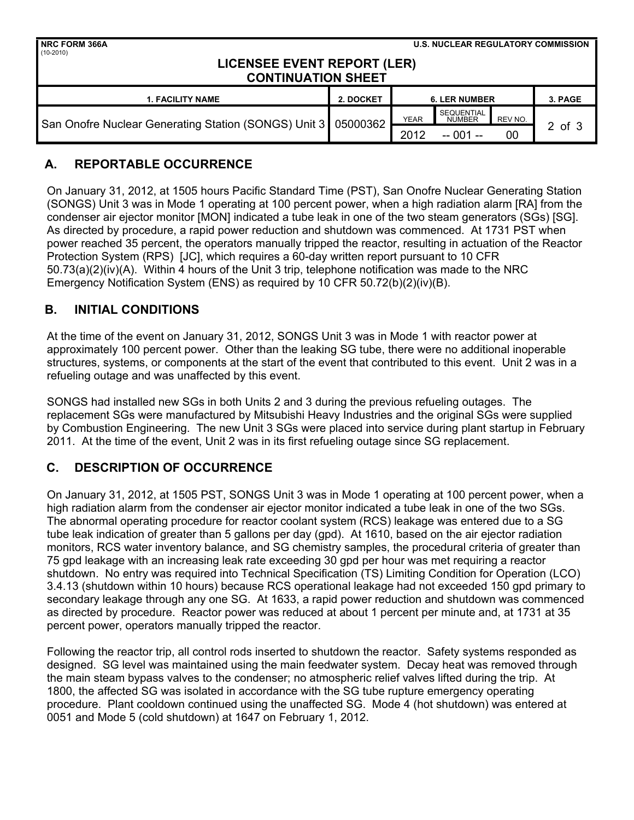| <b>NRC FORM 366A</b><br>$(10-2010)$                             |           | <b>U.S. NUCLEAR REGULATORY COMMISSION</b> |                                    |         |         |  |  |  |  |
|-----------------------------------------------------------------|-----------|-------------------------------------------|------------------------------------|---------|---------|--|--|--|--|
| <b>LICENSEE EVENT REPORT (LER)</b><br><b>CONTINUATION SHEET</b> |           |                                           |                                    |         |         |  |  |  |  |
| <b>1. FACILITY NAME</b>                                         | 2. DOCKET | <b>6. LER NUMBER</b>                      |                                    |         | 3. PAGE |  |  |  |  |
| San Onofre Nuclear Generating Station (SONGS) Unit 3 05000362   |           | <b>YEAR</b>                               | <b>SEQUENTIAL</b><br><b>NUMBER</b> | REV NO. | 2 of 3  |  |  |  |  |
|                                                                 |           | 2012                                      | $-001 -$                           | 00      |         |  |  |  |  |

# **A. REPORTABLE OCCURRENCE**

On January 31, 2012, at 1505 hours Pacific Standard Time (PST), San Onofre Nuclear Generating Station (SONGS) Unit 3 was in Mode 1 operating at 100 percent power, when a high radiation alarm [RA] from the condenser air ejector monitor [MON] indicated a tube leak in one of the two steam generators (SGs) [SG]. As directed by procedure, a rapid power reduction and shutdown was commenced. At 1731 PST when power reached 35 percent, the operators manually tripped the reactor, resulting in actuation of the Reactor Protection System (RPS) [JC], which requires a 60-day written report pursuant to 10 CFR 50.73(a)(2)(iv)(A). Within 4 hours of the Unit 3 trip, telephone notification was made to the NRC Emergency Notification System (ENS) as required by 10 CFR 50.72(b)(2)(iv)(B).

# **B. INITIAL CONDITIONS**

At the time of the event on January 31, 2012, SONGS Unit 3 was in Mode 1 with reactor power at approximately 100 percent power. Other than the leaking SG tube, there were no additional inoperable structures, systems, or components at the start of the event that contributed to this event. Unit 2 was in a refueling outage and was unaffected by this event.

SONGS had installed new SGs in both Units 2 and 3 during the previous refueling outages. The replacement SGs were manufactured by Mitsubishi Heavy Industries and the original SGs were supplied by Combustion Engineering. The new Unit 3 SGs were placed into service during plant startup in February 2011. At the time of the event, Unit 2 was in its first refueling outage since SG replacement.

# **C. DESCRIPTION OF OCCURRENCE**

On January 31, 2012, at 1505 PST, SONGS Unit 3 was in Mode 1 operating at 100 percent power, when a high radiation alarm from the condenser air ejector monitor indicated a tube leak in one of the two SGs. The abnormal operating procedure for reactor coolant system (RCS) leakage was entered due to a SG tube leak indication of greater than 5 gallons per day (gpd). At 1610, based on the air ejector radiation monitors, RCS water inventory balance, and SG chemistry samples, the procedural criteria of greater than 75 gpd leakage with an increasing leak rate exceeding 30 gpd per hour was met requiring a reactor shutdown. No entry was required into Technical Specification (TS) Limiting Condition for Operation (LCO) 3.4.13 (shutdown within 10 hours) because RCS operational leakage had not exceeded 150 gpd primary to secondary leakage through any one SG. At 1633, a rapid power reduction and shutdown was commenced as directed by procedure. Reactor power was reduced at about 1 percent per minute and, at 1731 at 35 percent power, operators manually tripped the reactor.

Following the reactor trip, all control rods inserted to shutdown the reactor. Safety systems responded as designed. SG level was maintained using the main feedwater system. Decay heat was removed through the main steam bypass valves to the condenser; no atmospheric relief valves lifted during the trip. At 1800, the affected SG was isolated in accordance with the SG tube rupture emergency operating procedure. Plant cooldown continued using the unaffected SG. Mode 4 (hot shutdown) was entered at 0051 and Mode 5 (cold shutdown) at 1647 on February 1, 2012.